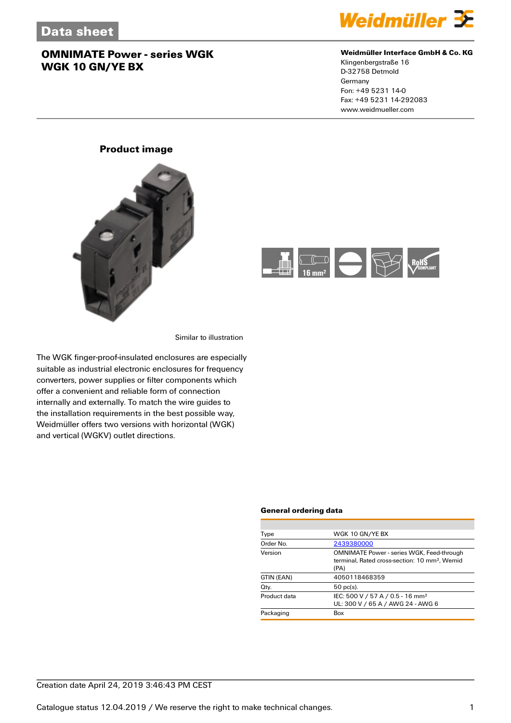

#### **Weidmüller Interface GmbH & Co. KG**

Klingenbergstraße 16 D-32758 Detmold Germany Fon: +49 5231 14-0 Fax: +49 5231 14-292083 www.weidmueller.com

### **Product image**





Similar to illustration

The WGK finger-proof-insulated enclosures are especially suitable as industrial electronic enclosures for frequency converters, power supplies or filter components which offer a convenient and reliable form of connection internally and externally. To match the wire guides to the installation requirements in the best possible way, Weidmüller offers two versions with horizontal (WGK) and vertical (WGKV) outlet directions.

#### **General ordering data**

| Type         | WGK 10 GN/YE BX                                                                                                       |
|--------------|-----------------------------------------------------------------------------------------------------------------------|
| Order No.    | 2439380000                                                                                                            |
| Version      | <b>OMNIMATE Power - series WGK, Feed-through</b><br>terminal. Rated cross-section: 10 mm <sup>2</sup> . Wemid<br>(PA) |
| GTIN (EAN)   | 4050118468359                                                                                                         |
| Qty.         | $50$ pc(s).                                                                                                           |
| Product data | IEC: 500 V / 57 A / 0.5 - 16 mm <sup>2</sup><br>UL: 300 V / 65 A / AWG 24 - AWG 6                                     |
| Packaging    | Box                                                                                                                   |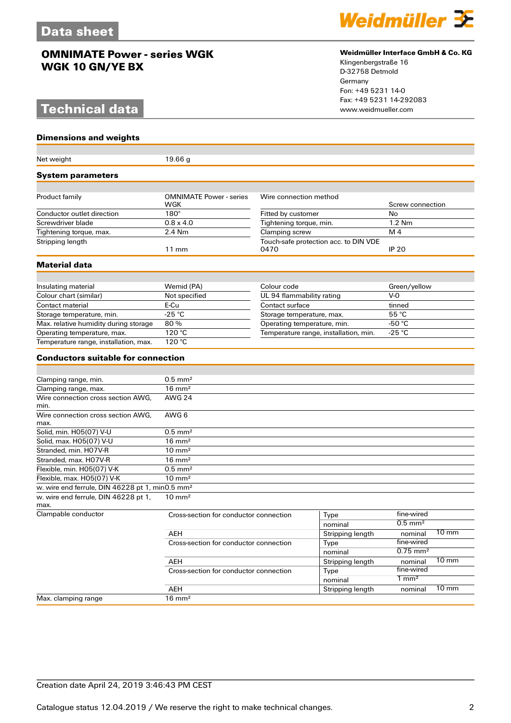# **Technical data**

#### **Dimensions and weights**

| Net weight                                                  | 19.66 g                                |                                       |                                       |                        |                 |
|-------------------------------------------------------------|----------------------------------------|---------------------------------------|---------------------------------------|------------------------|-----------------|
| System parameters                                           |                                        |                                       |                                       |                        |                 |
|                                                             |                                        |                                       |                                       |                        |                 |
| Product family                                              | <b>OMNIMATE Power - series</b><br>WGK  | Wire connection method                |                                       | Screw connection       |                 |
| Conductor outlet direction                                  | $180^\circ$                            | Fitted by customer                    |                                       | No                     |                 |
| Screwdriver blade                                           | $0.8 \times 4.0$                       | Tightening torque, min.               |                                       | 1.2 Nm                 |                 |
| Tightening torque, max.                                     | 2.4 Nm                                 | Clamping screw                        |                                       | M <sub>4</sub>         |                 |
| Stripping length                                            | $11 \text{ mm}$                        | 0470                                  | Touch-safe protection acc. to DIN VDE | <b>IP 20</b>           |                 |
| Material data                                               |                                        |                                       |                                       |                        |                 |
|                                                             |                                        |                                       |                                       |                        |                 |
| Insulating material                                         | Wemid (PA)<br>Colour code              |                                       | Green/yellow                          |                        |                 |
| Colour chart (similar)                                      | Not specified                          | UL 94 flammability rating             |                                       | $V-0$                  |                 |
| Contact material                                            | E-Cu                                   | Contact surface                       |                                       | tinned                 |                 |
| Storage temperature, min.                                   | $-25$ °C                               | Storage temperature, max.             |                                       | 55 °C                  |                 |
| Max. relative humidity during storage                       | 80%                                    | Operating temperature, min.           |                                       | -50 $\degree$ C        |                 |
| Operating temperature, max.                                 | 120 °C                                 | Temperature range, installation, min. |                                       | $-25 °C$               |                 |
| Temperature range, installation, max.                       | 120 °C                                 |                                       |                                       |                        |                 |
| <b>Conductors suitable for connection</b>                   |                                        |                                       |                                       |                        |                 |
|                                                             |                                        |                                       |                                       |                        |                 |
| Clamping range, min.                                        | $0.5$ mm <sup>2</sup>                  |                                       |                                       |                        |                 |
| Clamping range, max.                                        | $16 \text{ mm}^2$                      |                                       |                                       |                        |                 |
| Wire connection cross section AWG,<br>min.                  | <b>AWG 24</b>                          |                                       |                                       |                        |                 |
| Wire connection cross section AWG.<br>max.                  | AWG 6                                  |                                       |                                       |                        |                 |
| Solid, min. H05(07) V-U                                     | $0.5$ mm <sup>2</sup>                  |                                       |                                       |                        |                 |
| Solid, max. H05(07) V-U                                     | $16 \text{ mm}^2$                      |                                       |                                       |                        |                 |
| Stranded, min. H07V-R                                       | $10 \text{ mm}^2$                      |                                       |                                       |                        |                 |
| Stranded, max. H07V-R                                       | $16 \text{ mm}^2$                      |                                       |                                       |                        |                 |
| Flexible, min. H05(07) V-K                                  | $0.5$ mm <sup>2</sup>                  |                                       |                                       |                        |                 |
| Flexible, max. H05(07) V-K                                  | $10 \text{ mm}^2$                      |                                       |                                       |                        |                 |
| w. wire end ferrule, DIN 46228 pt 1, min0.5 mm <sup>2</sup> |                                        |                                       |                                       |                        |                 |
| w. wire end ferrule, DIN 46228 pt 1,<br>max.                | $10 \text{ mm}^2$                      |                                       |                                       |                        |                 |
| Clampable conductor                                         | Cross-section for conductor connection |                                       | Type                                  | fine-wired             |                 |
|                                                             |                                        |                                       | nominal                               | $0.5$ mm <sup>2</sup>  |                 |
|                                                             | AEH                                    |                                       | Stripping length                      | nominal                | $10 \text{ mm}$ |
|                                                             | Cross-section for conductor connection |                                       | Type                                  | fine-wired             |                 |
|                                                             |                                        |                                       | nominal                               | $0.75$ mm <sup>2</sup> |                 |
|                                                             | AEH                                    |                                       | Stripping length                      | nominal                | $10 \text{ mm}$ |
|                                                             | Cross-section for conductor connection |                                       | Type                                  | fine-wired             |                 |
|                                                             |                                        |                                       | nominal                               | $1 \text{ mm}^2$       |                 |
|                                                             | <b>AEH</b>                             |                                       | Stripping length                      | nominal                | $10 \text{ mm}$ |
| Max. clamping range                                         | $16 \text{ mm}^2$                      |                                       |                                       |                        |                 |



#### **Weidmüller Interface GmbH & Co. KG**

Klingenbergstraße 16 D-32758 Detmold Germany Fon: +49 5231 14-0 Fax: +49 5231 14-292083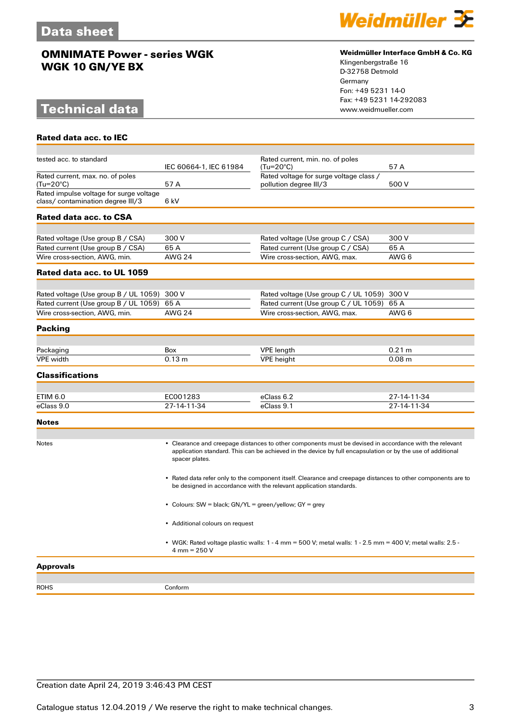# **Technical data**

**Rated data acc. to IEC**



#### **Weidmüller Interface GmbH & Co. KG**

Klingenbergstraße 16 D-32758 Detmold Germany Fon: +49 5231 14-0 Fax: +49 5231 14-292083

| tested acc. to standard                                                     | IEC 60664-1, IEC 61984                                                                                                          | Rated current, min. no. of poles<br>(Tu=20°C)                                                                                                                                                                        | 57 A        |  |
|-----------------------------------------------------------------------------|---------------------------------------------------------------------------------------------------------------------------------|----------------------------------------------------------------------------------------------------------------------------------------------------------------------------------------------------------------------|-------------|--|
| Rated current, max. no. of poles<br>$(Tu=20^{\circ}C)$                      | 57A                                                                                                                             | Rated voltage for surge voltage class /<br>pollution degree III/3                                                                                                                                                    | 500 V       |  |
| Rated impulse voltage for surge voltage<br>class/contamination degree III/3 | 6 kV                                                                                                                            |                                                                                                                                                                                                                      |             |  |
| Rated data acc. to CSA                                                      |                                                                                                                                 |                                                                                                                                                                                                                      |             |  |
|                                                                             |                                                                                                                                 |                                                                                                                                                                                                                      |             |  |
| Rated voltage (Use group B / CSA)                                           | 300 V                                                                                                                           | Rated voltage (Use group C / CSA)                                                                                                                                                                                    | 300 V       |  |
| Rated current (Use group B / CSA)                                           | 65 A                                                                                                                            | Rated current (Use group C / CSA)                                                                                                                                                                                    | 65 A        |  |
| Wire cross-section, AWG, min.                                               | <b>AWG 24</b>                                                                                                                   | Wire cross-section, AWG, max.                                                                                                                                                                                        | AWG 6       |  |
| Rated data acc. to UL 1059                                                  |                                                                                                                                 |                                                                                                                                                                                                                      |             |  |
| Rated voltage (Use group B / UL 1059) 300 V                                 |                                                                                                                                 | Rated voltage (Use group C / UL 1059) 300 V                                                                                                                                                                          |             |  |
| Rated current (Use group B / UL 1059)                                       | 65 A                                                                                                                            | Rated current (Use group C / UL 1059)                                                                                                                                                                                | 65 A        |  |
| Wire cross-section, AWG, min.                                               | <b>AWG 24</b>                                                                                                                   | Wire cross-section, AWG, max.                                                                                                                                                                                        | AWG 6       |  |
|                                                                             |                                                                                                                                 |                                                                                                                                                                                                                      |             |  |
| <b>Packing</b>                                                              |                                                                                                                                 |                                                                                                                                                                                                                      |             |  |
| Packaging                                                                   | <b>Box</b>                                                                                                                      | <b>VPE</b> length                                                                                                                                                                                                    | 0.21 m      |  |
| <b>VPE</b> width                                                            | 0.13 m                                                                                                                          | <b>VPE</b> height                                                                                                                                                                                                    | 0.08 m      |  |
| <b>Classifications</b>                                                      |                                                                                                                                 |                                                                                                                                                                                                                      |             |  |
|                                                                             |                                                                                                                                 |                                                                                                                                                                                                                      |             |  |
| <b>ETIM 6.0</b><br>eClass 9.0                                               | EC001283<br>27-14-11-34                                                                                                         | eClass 6.2<br>eClass 9.1                                                                                                                                                                                             | 27-14-11-34 |  |
|                                                                             |                                                                                                                                 |                                                                                                                                                                                                                      | 27-14-11-34 |  |
| <b>Notes</b>                                                                |                                                                                                                                 |                                                                                                                                                                                                                      |             |  |
| Notes                                                                       | spacer plates.                                                                                                                  | • Clearance and creepage distances to other components must be devised in accordance with the relevant<br>application standard. This can be achieved in the device by full encapsulation or by the use of additional |             |  |
|                                                                             |                                                                                                                                 | • Rated data refer only to the component itself. Clearance and creepage distances to other components are to<br>be designed in accordance with the relevant application standards.                                   |             |  |
|                                                                             | • Colours: SW = black; GN/YL = green/yellow; GY = grey<br>• Additional colours on request                                       |                                                                                                                                                                                                                      |             |  |
|                                                                             |                                                                                                                                 |                                                                                                                                                                                                                      |             |  |
|                                                                             | • WGK: Rated voltage plastic walls: $1 - 4$ mm = 500 V; metal walls: $1 - 2.5$ mm = 400 V; metal walls: 2.5 -<br>$4 mm = 250 V$ |                                                                                                                                                                                                                      |             |  |
| <b>Approvals</b>                                                            |                                                                                                                                 |                                                                                                                                                                                                                      |             |  |

ROHS Conform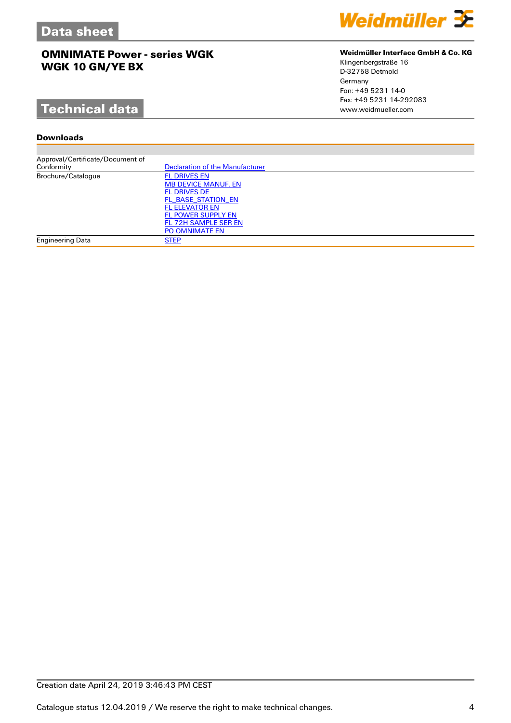# **Technical data**

#### **Downloads**

| Approval/Certificate/Document of |                                        |
|----------------------------------|----------------------------------------|
| Conformity                       | <b>Declaration of the Manufacturer</b> |
| Brochure/Catalogue               | <b>FL DRIVES EN</b>                    |
|                                  | <b>MB DEVICE MANUF. EN</b>             |
|                                  | <b>FL DRIVES DE</b>                    |
|                                  | FL BASE STATION EN                     |
|                                  | <b>FL ELEVATOR EN</b>                  |
|                                  | FL POWER SUPPLY EN                     |
|                                  | FL 72H SAMPLE SER EN                   |
|                                  | PO OMNIMATE EN                         |
| Engineering Data                 | <b>STEP</b>                            |
|                                  |                                        |



#### **Weidmüller Interface GmbH & Co. KG**

Klingenbergstraße 16 D-32758 Detmold Germany Fon: +49 5231 14-0 Fax: +49 5231 14-292083